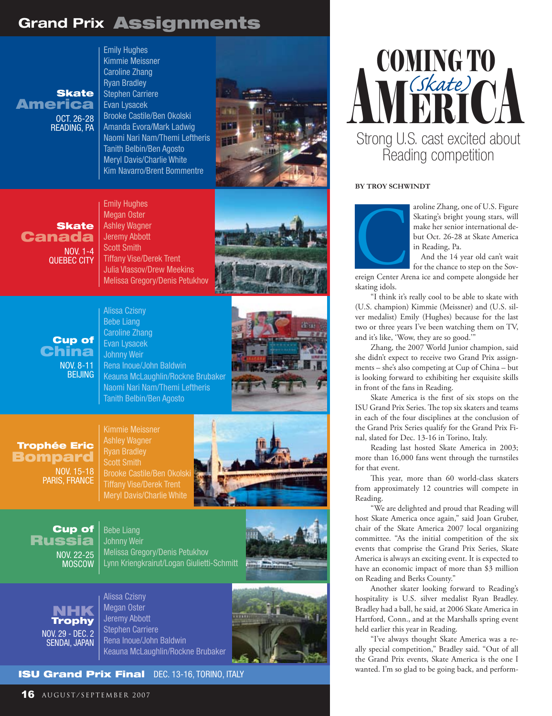## Grand Prix Assignments

America OCT. 26-28 Reading, PA

Emily Hughes Kimmie Meissner Caroline Zhang Ryan Bradley Stephen Carriere Evan Lysacek Brooke Castile/Ben Okolski Amanda Evora/Mark Ladwig Naomi Nari Nam/Themi Leftheris Tanith Belbin/Ben Agosto Meryl Davis/Charlie White Kim Navarro/Brent Bommentre



**Skate** Canada Nov. 1-4 Quebec city

Emily Hughes Megan Oster Ashley Wagner Jeremy Abbott Scott Smith Tiffany Vise/Derek Trent Julia Vlassov/Drew Meekins Melissa Gregory/Denis Petukhov



Cup of China Nov. 8-11 **BEIJING** 

Alissa Czisny Bebe Liang Caroline Zhang Evan Lysacek Johnny Weir Rena Inoue/John Baldwin Keauna McLaughlin/Rockne Brubaker Naomi Nari Nam/Themi Leftheris Tanith Belbin/Ben Agosto



Trophée Eric Bompard

> Nov. 15-18 Paris, France

Kimmie Meissner Ashley Wagner Ryan Bradley Scott Smith Brooke Castile/Ben Okolski Tiffany Vise/Derek Trent Meryl Davis/Charlie White



Cup of Russia Nov. 22-25 **MOSCOW** 

Bebe Liang Johnny Weir Melissa Gregory/Denis Petukhov Lynn Kriengkrairut/Logan Giulietti-Schmitt



NHK Trophy Nov. 29 - Dec. 2 Sendai, Japan

Alissa Czisny Megan Oster Jeremy Abbott Stephen Carriere Rena Inoue/John Baldwin Keauna McLaughlin/Rockne Brubaker



### **ISU Grand Prix Final DEC. 13-16, TORINO, ITALY**



#### **By Troy Schwindt**



aroline Zhang, one of U.S. Figure Skating's bright young stars, will make her senior international debut Oct. 26-28 at Skate America in Reading, Pa. Skating's bright young stars, will<br>make her senior international de-<br>but Oct. 26-28 at Skate America<br>in Reading, Pa.<br>And the 14 year old can't wait<br>for the chance to step on the Sov-<br>ereign Center Arena ice and compete alo

And the 14 year old can't wait for the chance to step on the Sov-

skating idols.

"I think it's really cool to be able to skate with (U.S. champion) Kimmie (Meissner) and (U.S. silver medalist) Emily (Hughes) because for the last two or three years I've been watching them on TV, and it's like, 'Wow, they are so good.'"

Zhang, the 2007 World Junior champion, said she didn't expect to receive two Grand Prix assignments – she's also competing at Cup of China – but is looking forward to exhibiting her exquisite skills in front of the fans in Reading.

Skate America is the first of six stops on the ISU Grand Prix Series. The top six skaters and teams in each of the four disciplines at the conclusion of the Grand Prix Series qualify for the Grand Prix Final, slated for Dec. 13-16 in Torino, Italy.

Reading last hosted Skate America in 2003; more than 16,000 fans went through the turnstiles for that event.

This year, more than 60 world-class skaters from approximately 12 countries will compete in Reading.

"We are delighted and proud that Reading will host Skate America once again," said Joan Gruber, chair of the Skate America 2007 local organizing committee. "As the initial competition of the six events that comprise the Grand Prix Series, Skate America is always an exciting event. It is expected to have an economic impact of more than \$3 million on Reading and Berks County."

Another skater looking forward to Reading's hospitality is U.S. silver medalist Ryan Bradley. Bradley had a ball, he said, at 2006 Skate America in Hartford, Conn., and at the Marshalls spring event held earlier this year in Reading.

"I've always thought Skate America was a really special competition," Bradley said. "Out of all the Grand Prix events, Skate America is the one I wanted. I'm so glad to be going back, and perform-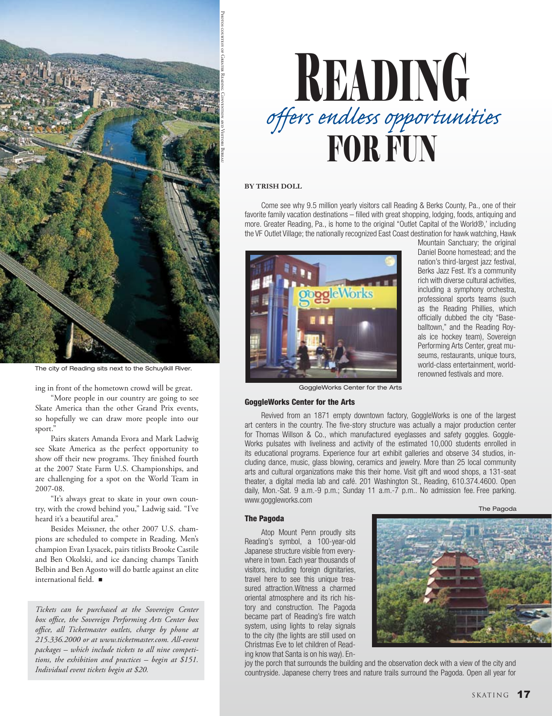

The city of Reading sits next to the Schuylkill River.

ing in front of the hometown crowd will be great.

"More people in our country are going to see Skate America than the other Grand Prix events, so hopefully we can draw more people into our sport."

Pairs skaters Amanda Evora and Mark Ladwig see Skate America as the perfect opportunity to show off their new programs. They finished fourth at the 2007 State Farm U.S. Championships, and are challenging for a spot on the World Team in 2007-08.

"It's always great to skate in your own country, with the crowd behind you," Ladwig said. "I've heard it's a beautiful area."

Besides Meissner, the other 2007 U.S. champions are scheduled to compete in Reading. Men's champion Evan Lysacek, pairs titlists Brooke Castile and Ben Okolski, and ice dancing champs Tanith Belbin and Ben Agosto will do battle against an elite international field.  $\blacksquare$ 

*Tickets can be purchased at the Sovereign Center box office, the Sovereign Performing Arts Center box office, all Ticketmaster outlets, charge by phone at 215.336.2000 or at www.ticketmaster.com. All-event packages – which include tickets to all nine competitions, the exhibition and practices – begin at \$151. Individual event tickets begin at \$20.*



#### **By Trish Doll**

Come see why 9.5 million yearly visitors call Reading & Berks County, Pa., one of their favorite family vacation destinations – filled with great shopping, lodging, foods, antiquing and more. Greater Reading, Pa., is home to the original "Outlet Capital of the World®,' including the VF Outlet Village; the nationally recognized East Coast destination for hawk watching, Hawk



Mountain Sanctuary; the original Daniel Boone homestead; and the nation's third-largest jazz festival, Berks Jazz Fest. It's a community rich with diverse cultural activities, including a symphony orchestra, professional sports teams (such as the Reading Phillies, which officially dubbed the city "Baseballtown," and the Reading Royals ice hockey team), Sovereign Performing Arts Center, great museums, restaurants, unique tours, world-class entertainment, worldrenowned festivals and more.

GoggleWorks Center for the Arts

#### GoggleWorks Center for the Arts

Revived from an 1871 empty downtown factory, GoggleWorks is one of the largest art centers in the country. The five-story structure was actually a major production center for Thomas Willson & Co., which manufactured eyeglasses and safety goggles. Goggle-Works pulsates with liveliness and activity of the estimated 10,000 students enrolled in its educational programs. Experience four art exhibit galleries and observe 34 studios, including dance, music, glass blowing, ceramics and jewelry. More than 25 local community arts and cultural organizations make this their home. Visit gift and wood shops, a 131-seat theater, a digital media lab and café. 201 Washington St., Reading, 610.374.4600. Open daily, Mon.-Sat. 9 a.m.-9 p.m.; Sunday 11 a.m.-7 p.m.. No admission fee. Free parking. www.goggleworks.com

The Pagoda

### The Pagoda Atop Mount Penn proudly sits

Reading's symbol, a 100-year-old Japanese structure visible from everywhere in town. Each year thousands of visitors, including foreign dignitaries, travel here to see this unique treasured attraction.Witness a charmed oriental atmosphere and its rich history and construction. The Pagoda became part of Reading's fire watch system, using lights to relay signals to the city (the lights are still used on Christmas Eve to let children of Reading know that Santa is on his way). En-



joy the porch that surrounds the building and the observation deck with a view of the city and countryside. Japanese cherry trees and nature trails surround the Pagoda. Open all year for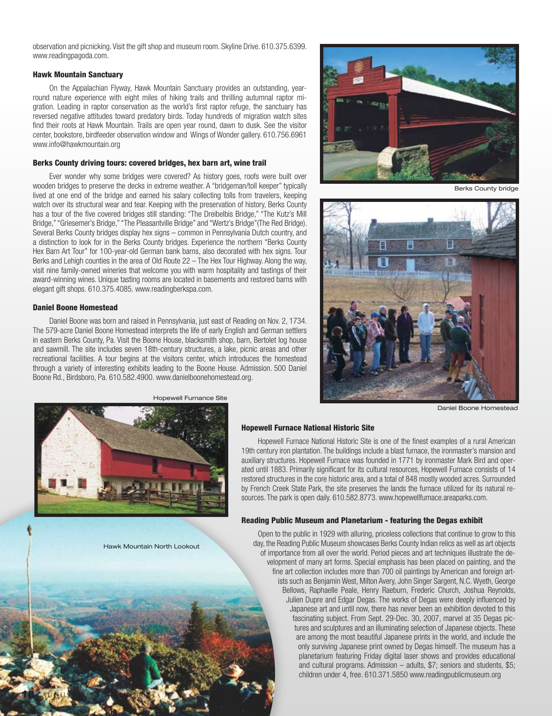observation and picnicking. Visit the gift shop and museum room. Skyline Drive. 610.375.6399. www.readingpagoda.com.

#### Hawk Mountain Sanctuary

On the Appalachian Flyway, Hawk Mountain Sanctuary provides an outstanding, yearround nature experience with eight miles of hiking trails and thrilling autumnal raptor migration. Leading in raptor conservation as the world's first raptor refuge, the sanctuary has reversed negative attitudes toward predatory birds. Today hundreds of migration watch sites find their roots at Hawk Mountain. Trails are open year round, dawn to dusk. See the visitor center, bookstore, birdfeeder observation window and Wings of Wonder gallery. 610.756.6961 www.info@hawkmountain.org

#### Berks County driving tours: covered bridges, hex barn art, wine trail

Ever wonder why some bridges were covered? As history goes, roofs were built over wooden bridges to preserve the decks in extreme weather. A "bridgeman/toll keeper" typically lived at one end of the bridge and earned his salary collecting tolls from travelers, keeping watch over its structural wear and tear. Keeping with the preservation of history, Berks County has a tour of the five covered bridges still standing: "The Dreibelbis Bridge," "The Kutz's Mill Bridge," "Griesemer's Bridge," "The Pleasantville Bridge" and "Wertz's Bridge"(The Red Bridge). Several Berks County bridges display hex signs – common in Pennsylvania Dutch country, and a distinction to look for in the Berks County bridges. Experience the northern "Berks County Hex Barn Art Tour" for 100-year-old German bank barns, also decorated with hex signs. Tour Berks and Lehigh counties in the area of Old Route 22 – The Hex Tour Highway. Along the way, visit nine family-owned wineries that welcome you with warm hospitality and tastings of their award-winning wines. Unique tasting rooms are located in basements and restored barns with elegant gift shops. 610.375.4085. www.readingberkspa.com.

#### Daniel Boone Homestead

18 August September 2007

Daniel Boone was born and raised in Pennsylvania, just east of Reading on Nov. 2, 1734. The 579-acre Daniel Boone Homestead interprets the life of early English and German settlers in eastern Berks County, Pa. Visit the Boone House, blacksmith shop, barn, Bertolet log house and sawmill. The site includes seven 18th-century structures, a lake, picnic areas and other recreational facilities. A tour begins at the visitors center, which introduces the homestead through a variety of interesting exhibits leading to the Boone House. Admission. 500 Daniel Boone Rd., Birdsboro, Pa. 610.582.4900. www.danielboonehomestead.org.



Berks County bridge



Daniel Boone Homestead



Hopewell Furnance Site

#### Hopewell Furnace National Historic Site

Hopewell Furnace National Historic Site is one of the finest examples of a rural American 19th century iron plantation. The buildings include a blast furnace, the ironmaster's mansion and auxiliary structures. Hopewell Furnace was founded in 1771 by ironmaster Mark Bird and operated until 1883. Primarily significant for its cultural resources, Hopewell Furnace consists of 14 restored structures in the core historic area, and a total of 848 mostly wooded acres. Surrounded by French Creek State Park, the site preserves the lands the furnace utilized for its natural resources. The park is open daily. 610.582.8773. www.hopewellfurnace.areaparks.com.

#### Reading Public Museum and Planetarium - featuring the Degas exhibit

Open to the public in 1929 with alluring, priceless collections that continue to grow to this day, the Reading Public Museum showcases Berks County Indian relics as well as art objects of importance from all over the world. Period pieces and art techniques illustrate the development of many art forms. Special emphasis has been placed on painting, and the fine art collection includes more than 700 oil paintings by American and foreign artists such as Benjamin West, Milton Avery, John Singer Sargent, N.C. Wyeth, George Bellows, Raphaelle Peale, Henry Raeburn, Frederic Church, Joshua Reynolds, Julien Dupre and Edgar Degas. The works of Degas were deeply influenced by Japanese art and until now, there has never been an exhibition devoted to this fascinating subject. From Sept. 29-Dec. 30, 2007, marvel at 35 Degas pictures and sculptures and an illuminating selection of Japanese objects. These are among the most beautiful Japanese prints in the world, and include the only surviving Japanese print owned by Degas himself. The museum has a planetarium featuring Friday digital laser shows and provides educational and cultural programs. Admission – adults, \$7; seniors and students, \$5; children under 4, free. 610.371.5850 www.readingpublicmuseum.org

Hawk Mountain North Lookout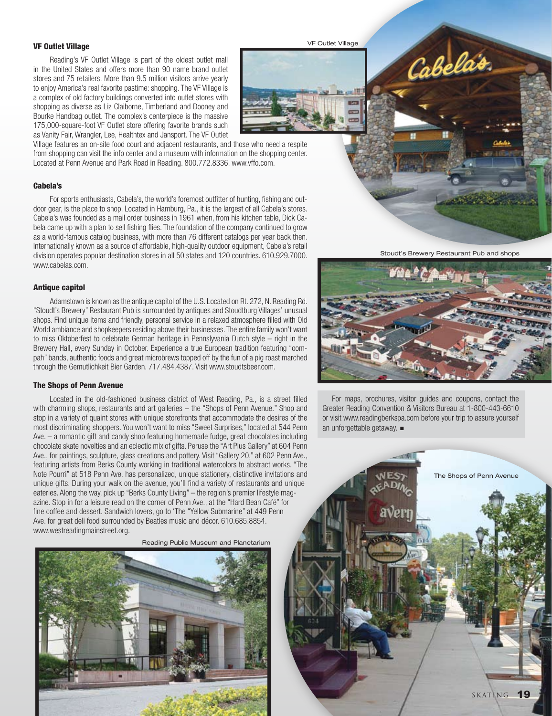#### VF Outlet Village

Reading's VF Outlet Village is part of the oldest outlet mall in the United States and offers more than 90 name brand outlet stores and 75 retailers. More than 9.5 million visitors arrive yearly to enjoy America's real favorite pastime: shopping. The VF Village is a complex of old factory buildings converted into outlet stores with shopping as diverse as Liz Claiborne, Timberland and Dooney and Bourke Handbag outlet. The complex's centerpiece is the massive 175,000-square-foot VF Outlet store offering favorite brands such as Vanity Fair, Wrangler, Lee, Healthtex and Jansport. The VF Outlet

Village features an on-site food court and adjacent restaurants, and those who need a respite from shopping can visit the info center and a museum with information on the shopping center. Located at Penn Avenue and Park Road in Reading. 800.772.8336. www.vffo.com.

#### Cabela's

For sports enthusiasts, Cabela's, the world's foremost outfitter of hunting, fishing and outdoor gear, is the place to shop. Located in Hamburg, Pa., it is the largest of all Cabela's stores. Cabela's was founded as a mail order business in 1961 when, from his kitchen table, Dick Cabela came up with a plan to sell fishing flies. The foundation of the company continued to grow as a world-famous catalog business, with more than 76 different catalogs per year back then. Internationally known as a source of affordable, high-quality outdoor equipment, Cabela's retail division operates popular destination stores in all 50 states and 120 countries. 610.929.7000. www.cabelas.com.

#### Antique capitol

Adamstown is known as the antique capitol of the U.S. Located on Rt. 272, N. Reading Rd. "Stoudt's Brewery" Restaurant Pub is surrounded by antiques and Stoudtburg Villages' unusual shops. Find unique items and friendly, personal service in a relaxed atmosphere filled with Old World ambiance and shopkeepers residing above their businesses. The entire family won't want to miss Oktoberfest to celebrate German heritage in Pennslyvania Dutch style – right in the Brewery Hall, every Sunday in October. Experience a true European tradition featuring "oompah" bands, authentic foods and great microbrews topped off by the fun of a pig roast marched through the Gemutlichkeit Bier Garden. 717.484.4387. Visit www.stoudtsbeer.com.

#### The Shops of Penn Avenue

Located in the old-fashioned business district of West Reading, Pa., is a street filled with charming shops, restaurants and art galleries – the "Shops of Penn Avenue." Shop and stop in a variety of quaint stores with unique storefronts that accommodate the desires of the most discriminating shoppers. You won't want to miss "Sweet Surprises," located at 544 Penn Ave. – a romantic gift and candy shop featuring homemade fudge, great chocolates including chocolate skate novelties and an eclectic mix of gifts. Peruse the "Art Plus Gallery" at 604 Penn Ave., for paintings, sculpture, glass creations and pottery. Visit "Gallery 20," at 602 Penn Ave., featuring artists from Berks County working in traditional watercolors to abstract works. "The Note Pourri" at 518 Penn Ave. has personalized, unique stationery, distinctive invitations and unique gifts. During your walk on the avenue, you'll find a variety of restaurants and unique eateries. Along the way, pick up "Berks County Living" – the region's premier lifestyle magazine. Stop in for a leisure read on the corner of Penn Ave., at the "Hard Bean Café" for fine coffee and dessert. Sandwich lovers, go to 'The "Yellow Submarine" at 449 Penn Ave. for great deli food surrounded by Beatles music and décor. 610.685.8854. www.westreadingmainstreet.org.

Reading Public Museum and Planetarium



VF Outlet Village



Cabelas



 For maps, brochures, visitor guides and coupons, contact the Greater Reading Convention & Visitors Bureau at 1-800-443-6610 or visit www.readingberkspa.com before your trip to assure yourself an unforgettable getaway.  $\blacksquare$ 



The Shops of Penn Avenue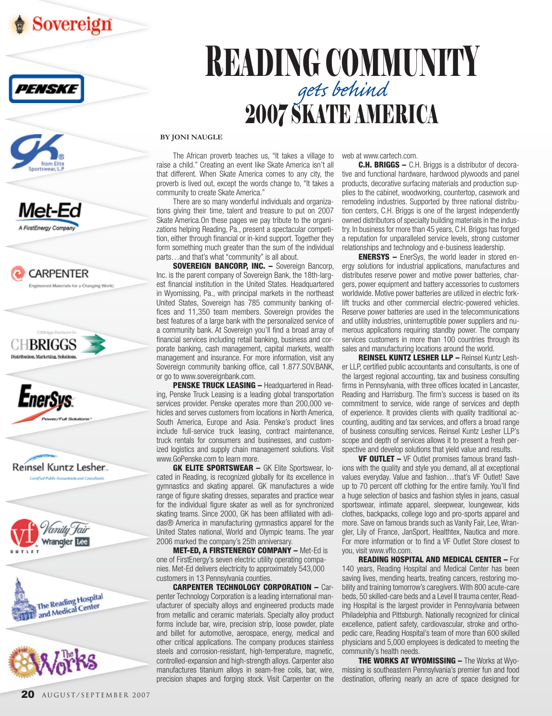





















# Reading community *gets behind* 2007 skate ameri

#### **By Joni Naugle**

The African proverb teaches us, "It takes a village to raise a child." Creating an event like Skate America isn't all that different. When Skate America comes to any city, the proverb is lived out, except the words change to, "It takes a community to create Skate America."

There are so many wonderful individuals and organizations giving their time, talent and treasure to put on 2007 Skate America.On these pages we pay tribute to the organizations helping Reading, Pa., present a spectacular competition, either through financial or in-kind support. Together they form something much greater than the sum of the individual parts…and that's what "community" is all about.

**SOVEREIGN BANCORP, INC. - Sovereign Bancorp,** Inc. is the parent company of Sovereign Bank, the 18th-largest financial institution in the United States. Headquartered in Wyomissing, Pa., with principal markets in the northeast United States, Sovereign has 785 community banking offices and 11,350 team members. Sovereign provides the best features of a large bank with the personalized service of a community bank. At Sovereign you'll find a broad array of financial services including retail banking, business and corporate banking, cash management, capital markets, wealth management and insurance. For more information, visit any Sovereign community banking office, call 1.877.SOV.BANK, or go to www.sovereignbank.com.

PENSKE TRUCK LEASING - Headquartered in Reading, Penske Truck Leasing is a leading global transportation services provider. Penske operates more than 200,000 vehicles and serves customers from locations in North America, South America, Europe and Asia. Penske's product lines include full-service truck leasing, contract maintenance, truck rentals for consumers and businesses, and customized logistics and supply chain management solutions. Visit www.GoPenske.com to learn more.

GK ELITE SPORTSWEAR - GK Elite Sportswear, located in Reading, is recognized globally for its excellence in gymnastics and skating apparel. GK manufactures a wide range of figure skating dresses, separates and practice wear for the individual figure skater as well as for synchronized skating teams. Since 2000, GK has been affiliated with adidas® America in manufacturing gymnastics apparel for the United States national, World and Olympic teams. The year 2006 marked the company's 25th anniversary.

Met-Ed, A FirstEnergy Company – Met-Ed is one of FirstEnergy's seven electric utility operating companies. Met-Ed delivers electricity to approximately 543,000 customers in 13 Pennsylvania counties.

Carpenter Technology Corporation – Carpenter Technology Corporation is a leading international manufacturer of specialty alloys and engineered products made from metallic and ceramic materials. Specialty alloy product forms include bar, wire, precision strip, loose powder, plate and billet for automotive, aerospace, energy, medical and other critical applications. The company produces stainless steels and corrosion-resistant, high-temperature, magnetic, controlled-expansion and high-strength alloys. Carpenter also manufactures titanium alloys in seam-free coils, bar, wire, precision shapes and forging stock. Visit Carpenter on the

web at www.cartech.com.

**C.H. BRIGGS –** C.H. Briggs is a distributor of decorative and functional hardware, hardwood plywoods and panel products, decorative surfacing materials and production supplies to the cabinet, woodworking, countertop, casework and remodeling industries. Supported by three national distribution centers, C.H. Briggs is one of the largest independently owned distributors of specialty building materials in the industry. In business for more than 45 years, C.H. Briggs has forged a reputation for unparalleled service levels, strong customer relationships and technology and e-business leadership.

**ENERSYS –** EnerSys, the world leader in stored energy solutions for industrial applications, manufactures and distributes reserve power and motive power batteries, chargers, power equipment and battery accessories to customers worldwide. Motive power batteries are utilized in electric forklift trucks and other commercial electric-powered vehicles. Reserve power batteries are used in the telecommunications and utility industries, uninterruptible power suppliers and numerous applications requiring standby power. The company services customers in more than 100 countries through its sales and manufacturing locations around the world.

Reinsel Kuntz Lesher LLP – Reinsel Kuntz Lesher LLP, certified public accountants and consultants, is one of the largest regional accounting, tax and business consulting firms in Pennsylvania, with three offices located in Lancaster, Reading and Harrisburg. The firm's success is based on its commitment to service, wide range of services and depth of experience. It provides clients with quality traditional accounting, auditing and tax services, and offers a broad range of business consulting services. Reinsel Kuntz Lesher LLP's scope and depth of services allows it to present a fresh perspective and develop solutions that yield value and results.

VF OUTLET – VF Outlet promises famous brand fashions with the quality and style you demand, all at exceptional values everyday. Value and fashion…that's VF Outlet! Save up to 70 percent off clothing for the entire family. You'll find a huge selection of basics and fashion styles in jeans, casual sportswear, intimate apparel, sleepwear, loungewear, kids clothes, backpacks, college logo and pro-sports apparel and more. Save on famous brands such as Vanity Fair, Lee, Wrangler, Lily of France, JanSport, Healthtex, Nautica and more. For more information or to find a VF Outlet Store closest to you, visit www.vffo.com.

Reading Hospital and Medical Center – For 140 years, Reading Hospital and Medical Center has been saving lives, mending hearts, treating cancers, restoring mobility and training tomorrow's caregivers. With 800 acute-care beds, 50 skilled-care beds and a Level II trauma center, Reading Hospital is the largest provider in Pennsylvania between Philadelphia and Pittsburgh. Nationally recognized for clinical excellence, patient safety, cardiovascular, stroke and orthopedic care, Reading Hospital's team of more than 600 skilled physicians and 5,000 employees is dedicated to meeting the community's health needs.

**THE WORKS AT WYOMISSING – The Works at Wyo**missing is southeastern Pennsylvania's premier fun and food destination, offering nearly an acre of space designed for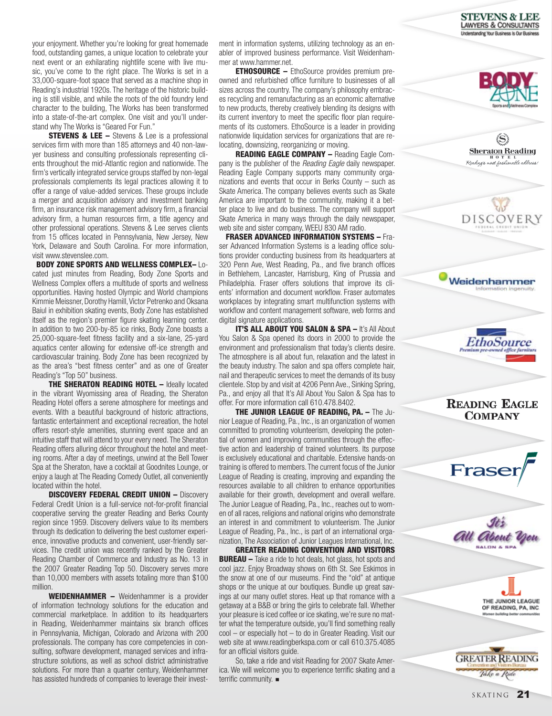STEVENS & LEE **LAWYERS & CONSULTANTS** tanding Your Business is Our Busines



(S) **Sheraton Reading** .<br>Reading's most fashionable address

DISCOVER

Weidenhammer Information inger

your enjoyment. Whether you're looking for great homemade food, outstanding games, a unique location to celebrate your next event or an exhilarating nightlife scene with live music, you've come to the right place. The Works is set in a 33,000-square-foot space that served as a machine shop in Reading's industrial 1920s. The heritage of the historic building is still visible, and while the roots of the old foundry lend character to the building, The Works has been transformed into a state-of-the-art complex. One visit and you'll understand why The Works is "Geared For Fun."

**STEVENS & LEE –** Stevens & Lee is a professional services firm with more than 185 attorneys and 40 non-lawyer business and consulting professionals representing clients throughout the mid-Atlantic region and nationwide. The firm's vertically integrated service groups staffed by non-legal professionals complements its legal practices allowing it to offer a range of value-added services. These groups include a merger and acquisition advisory and investment banking firm, an insurance risk management advisory firm, a financial advisory firm, a human resources firm, a title agency and other professional operations. Stevens & Lee serves clients from 15 offices located in Pennsylvania, New Jersey, New York, Delaware and South Carolina. For more information, visit www.stevenslee.com.

 Body Zone Sports and Wellness Complex– Located just minutes from Reading, Body Zone Sports and Wellness Complex offers a multitude of sports and wellness opportunities. Having hosted Olympic and World champions Kimmie Meissner, Dorothy Hamill, Victor Petrenko and Oksana Baiul in exhibition skating events, Body Zone has established itself as the region's premier figure skating learning center. In addition to two 200-by-85 ice rinks, Body Zone boasts a 25,000-square-feet fitness facility and a six-lane, 25-yard aquatics center allowing for extensive off-ice strength and cardiovascular training. Body Zone has been recognized by as the area's "best fitness center" and as one of Greater Reading's "Top 50" business.

**THE SHERATON READING HOTEL – Ideally located** in the vibrant Wyomissing area of Reading, the Sheraton Reading Hotel offers a serene atmosphere for meetings and events. With a beautiful background of historic attractions, fantastic entertainment and exceptional recreation, the hotel offers resort-style amenities, stunning event space and an intuitive staff that will attend to your every need. The Sheraton Reading offers alluring décor throughout the hotel and meeting rooms. After a day of meetings, unwind at the Bell Tower Spa at the Sheraton, have a cocktail at Goodnites Lounge, or enjoy a laugh at The Reading Comedy Outlet, all conveniently located within the hotel.

**DISCOVERY FEDERAL CREDIT UNION - Discovery** Federal Credit Union is a full-service not-for-profit financial cooperative serving the greater Reading and Berks County region since 1959. Discovery delivers value to its members through its dedication to delivering the best customer experience, innovative products and convenient, user-friendly services. The credit union was recently ranked by the Greater Reading Chamber of Commerce and Industry as No. 13 in the 2007 Greater Reading Top 50. Discovery serves more than 10,000 members with assets totaling more than \$100 million.

WEIDENHAMMER - Weidenhammer is a provider of information technology solutions for the education and commercial marketplace. In addition to its headquarters in Reading, Weidenhammer maintains six branch offices in Pennsylvania, Michigan, Colorado and Arizona with 200 professionals. The company has core competencies in consulting, software development, managed services and infrastructure solutions, as well as school district administrative solutions. For more than a quarter century, Weidenhammer has assisted hundreds of companies to leverage their investment in information systems, utilizing technology as an enabler of improved business performance. Visit Weidenhammer at www.hammer.net.

**ETHOSOURCE –** EthoSource provides premium preowned and refurbished office furniture to businesses of all sizes across the country. The company's philosophy embraces recycling and remanufacturing as an economic alternative to new products, thereby creatively blending its designs with its current inventory to meet the specific floor plan requirements of its customers. EthoSource is a leader in providing nationwide liquidation services for organizations that are relocating, downsizing, reorganizing or moving.

Reading Eagle Company – Reading Eagle Company is the publisher of the *Reading Eagle* daily newspaper. Reading Eagle Company supports many community organizations and events that occur in Berks County – such as Skate America. The company believes events such as Skate America are important to the community, making it a better place to live and do business. The company will support Skate America in many ways through the daily newspaper, web site and sister company, WEEU 830 AM radio.

 Fraser Advanced Information Systems – Fraser Advanced Information Systems is a leading office solutions provider conducting business from its headquarters at 320 Penn Ave, West Reading, Pa., and five branch offices in Bethlehem, Lancaster, Harrisburg, King of Prussia and Philadelphia. Fraser offers solutions that improve its clients' information and document workflow. Fraser automates workplaces by integrating smart multifunction systems with workflow and content management software, web forms and digital signature applications.

**IT'S ALL ABOUT YOU SALON & SPA - It's All About** You Salon & Spa opened its doors in 2000 to provide the environment and professionalism that today's clients desire. The atmosphere is all about fun, relaxation and the latest in the beauty industry. The salon and spa offers complete hair, nail and therapeutic services to meet the demands of its busy clientele. Stop by and visit at 4206 Penn Ave., Sinking Spring, Pa., and enjoy all that It's All About You Salon & Spa has to offer. For more information call 610.478.8402.

The Junior League of Reading, Pa. – The Junior League of Reading, Pa., Inc., is an organization of women committed to promoting volunteerism, developing the potential of women and improving communities through the effective action and leadership of trained volunteers. Its purpose is exclusively educational and charitable. Extensive hands-on training is offered to members. The current focus of the Junior League of Reading is creating, improving and expanding the resources available to all children to enhance opportunities available for their growth, development and overall welfare. The Junior League of Reading, Pa., Inc., reaches out to women of all races, religions and national origins who demonstrate an interest in and commitment to volunteerism. The Junior League of Reading, Pa., Inc., is part of an international organization, The Association of Junior Leagues International, Inc.

Greater Reading Convention and Visitors **BUREAU** – Take a ride to hot deals, hot glass, hot spots and cool jazz. Enjoy Broadway shows on 6th St. See Eskimos in the snow at one of our museums. Find the "old" at antique shops or the unique at our boutiques. Bundle up great savings at our many outlet stores. Heat up that romance with a getaway at a B&B or bring the girls to celebrate fall. Whether your pleasure is iced coffee or ice skating, we're sure no matter what the temperature outside, you'll find something really cool – or especially hot – to do in Greater Reading. Visit our web site at www.readingberkspa.com or call 610.375.4085 for an official visitors guide.

So, take a ride and visit Reading for 2007 Skate America. We will welcome you to experience terrific skating and a terrific community.  $\blacksquare$ 





THE JUNIOR LEAGUE OF READING, PA, INC